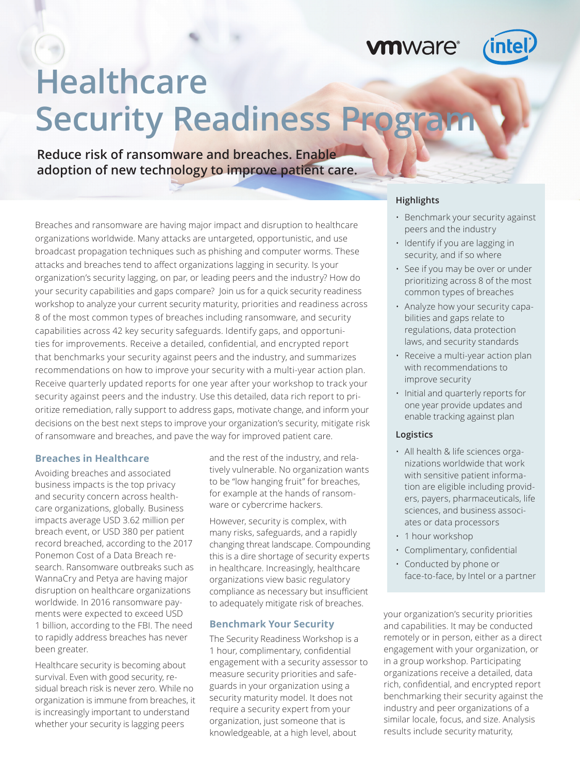mware<sup>®</sup>



# **Healthcare Security Readiness Program**

**Reduce risk of ransomware and breaches. Enable adoption of new technology to improve patient care.**

Breaches and ransomware are having major impact and disruption to healthcare organizations worldwide. Many attacks are untargeted, opportunistic, and use broadcast propagation techniques such as phishing and computer worms. These attacks and breaches tend to affect organizations lagging in security. Is your organization's security lagging, on par, or leading peers and the industry? How do your security capabilities and gaps compare? Join us for a quick security readiness workshop to analyze your current security maturity, priorities and readiness across 8 of the most common types of breaches including ransomware, and security capabilities across 42 key security safeguards. Identify gaps, and opportunities for improvements. Receive a detailed, confidential, and encrypted report that benchmarks your security against peers and the industry, and summarizes recommendations on how to improve your security with a multi-year action plan. Receive quarterly updated reports for one year after your workshop to track your security against peers and the industry. Use this detailed, data rich report to prioritize remediation, rally support to address gaps, motivate change, and inform your decisions on the best next steps to improve your organization's security, mitigate risk of ransomware and breaches, and pave the way for improved patient care.

#### **Breaches in Healthcare**

Avoiding breaches and associated business impacts is the top privacy and security concern across healthcare organizations, globally. Business impacts average USD 3.62 million per breach event, or USD 380 per patient record breached, according to the 2017 Ponemon Cost of a Data Breach research. Ransomware outbreaks such as WannaCry and Petya are having major disruption on healthcare organizations worldwide. In 2016 ransomware payments were expected to exceed USD 1 billion, according to the FBI. The need to rapidly address breaches has never been greater.

Healthcare security is becoming about survival. Even with good security, residual breach risk is never zero. While no organization is immune from breaches, it is increasingly important to understand whether your security is lagging peers

and the rest of the industry, and relatively vulnerable. No organization wants to be "low hanging fruit" for breaches, for example at the hands of ransomware or cybercrime hackers.

However, security is complex, with many risks, safeguards, and a rapidly changing threat landscape. Compounding this is a dire shortage of security experts in healthcare. Increasingly, healthcare organizations view basic regulatory compliance as necessary but insufficient to adequately mitigate risk of breaches.

#### **Benchmark Your Security**

The Security Readiness Workshop is a 1 hour, complimentary, confidential engagement with a security assessor to measure security priorities and safeguards in your organization using a security maturity model. It does not require a security expert from your organization, just someone that is knowledgeable, at a high level, about

#### **Highlights**

- Benchmark your security against peers and the industry
- Identify if you are lagging in security, and if so where
- See if you may be over or under prioritizing across 8 of the most common types of breaches
- Analyze how your security capabilities and gaps relate to regulations, data protection laws, and security standards
- Receive a multi-year action plan with recommendations to improve security
- Initial and quarterly reports for one year provide updates and enable tracking against plan

#### **Logistics**

- All health & life sciences organizations worldwide that work with sensitive patient information are eligible including providers, payers, pharmaceuticals, life sciences, and business associates or data processors
- 1 hour workshop
- Complimentary, confidential
- Conducted by phone or face-to-face, by Intel or a partner

your organization's security priorities and capabilities. It may be conducted remotely or in person, either as a direct engagement with your organization, or in a group workshop. Participating organizations receive a detailed, data rich, confidential, and encrypted report benchmarking their security against the industry and peer organizations of a similar locale, focus, and size. Analysis results include security maturity,